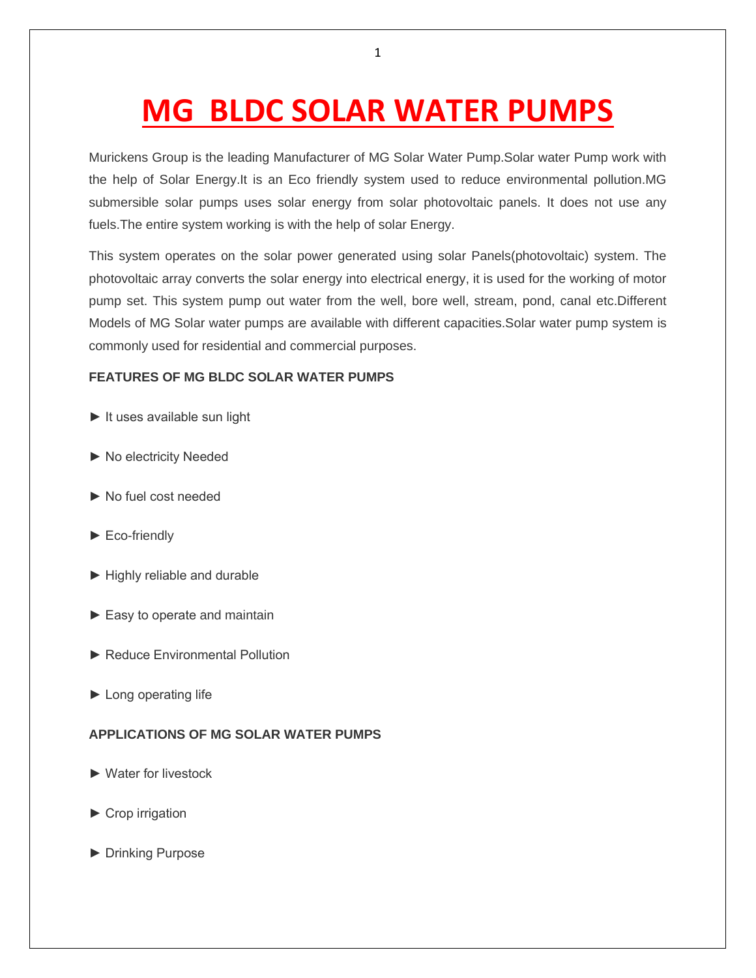## **MG BLDC SOLAR WATER PUMPS**

Murickens Group is the leading Manufacturer of MG Solar Water Pump.Solar water Pump work with the help of Solar Energy.It is an Eco friendly system used to reduce environmental pollution.MG submersible solar pumps uses solar energy from solar photovoltaic panels. It does not use any fuels.The entire system working is with the help of solar Energy.

This system operates on the solar power generated using solar Panels(photovoltaic) system. The photovoltaic array converts the solar energy into electrical energy, it is used for the working of motor pump set. This system pump out water from the well, bore well, stream, pond, canal etc.Different Models of MG Solar water pumps are available with different capacities.Solar water pump system is commonly used for residential and commercial purposes.

## **FEATURES OF MG BLDC SOLAR WATER PUMPS**

- ► It uses available sun light
- ► No electricity Needed
- ► No fuel cost needed
- ► Eco-friendly
- ► Highly reliable and durable
- ► Easy to operate and maintain
- ► Reduce Environmental Pollution
- ► Long operating life

## **APPLICATIONS OF MG SOLAR WATER PUMPS**

- ► Water for livestock
- ► Crop irrigation
- ► Drinking Purpose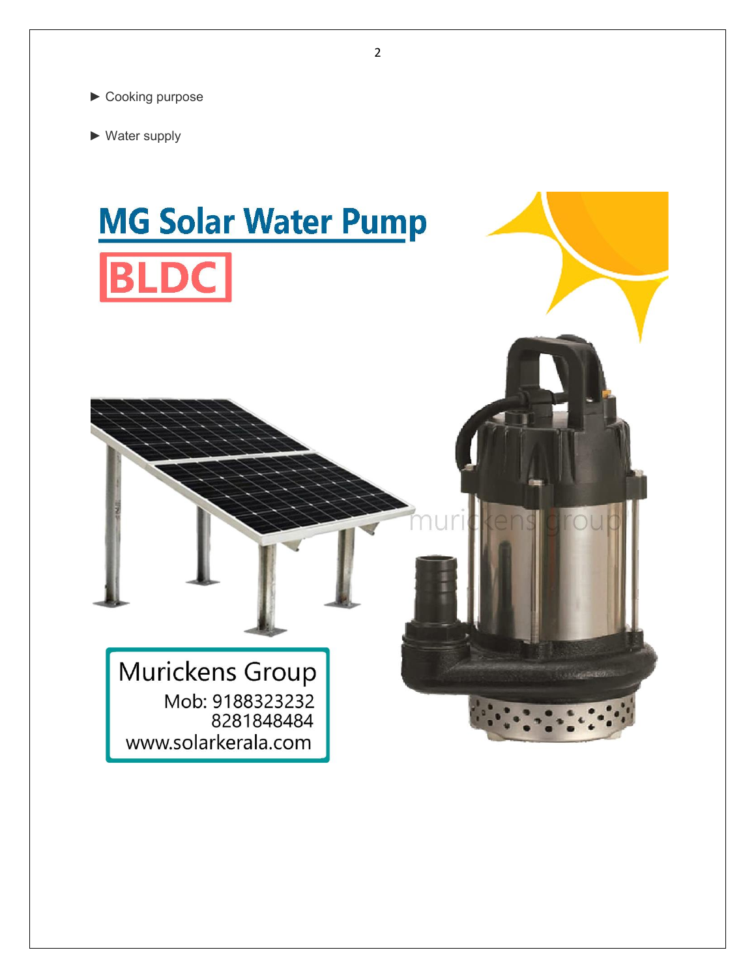

► Water supply

## **MG Solar Water Pump BLDC**

Murickens Group Mob: 9188323232 8281848484 www.solarkerala.com